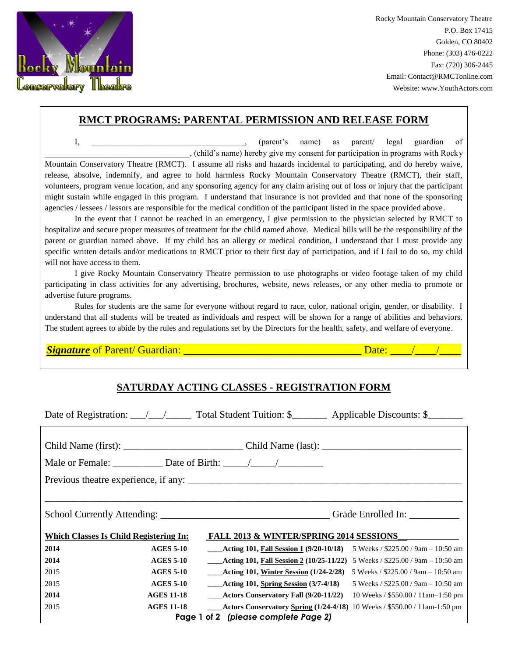

Rocky Mountain Conservatory Theatre P.O. Box 17415 Golden, CO 80402 Phone: (303) 476-0222 Fax: (720) 306-2445 Email: Contact@RMCTonline.com Website: www.YouthActors.com

## **RMCT PROGRAMS: PARENTAL PERMISSION AND RELEASE FORM**

I, \_\_\_\_\_\_\_\_\_\_\_\_\_\_\_\_\_\_\_\_\_\_\_\_\_\_\_\_, (parent's name) as parent/ legal guardian of \_\_\_\_\_\_\_\_\_\_\_\_\_\_\_\_\_\_\_\_\_\_\_\_\_\_\_\_\_\_\_\_\_\_\_, (child's name) hereby give my consent for participation in programs with Rocky Mountain Conservatory Theatre (RMCT). I assume all risks and hazards incidental to participating, and do hereby waive, release, absolve, indemnify, and agree to hold harmless Rocky Mountain Conservatory Theatre (RMCT), their staff, volunteers, program venue location, and any sponsoring agency for any claim arising out of loss or injury that the participant might sustain while engaged in this program. I understand that insurance is not provided and that none of the sponsoring agencies / lessees / lessors are responsible for the medical condition of the participant listed in the space provided above.

In the event that I cannot be reached in an emergency, I give permission to the physician selected by RMCT to hospitalize and secure proper measures of treatment for the child named above. Medical bills will be the responsibility of the parent or guardian named above. If my child has an allergy or medical condition, I understand that I must provide any specific written details and/or medications to RMCT prior to their first day of participation, and if I fail to do so, my child will not have access to them.

I give Rocky Mountain Conservatory Theatre permission to use photographs or video footage taken of my child participating in class activities for any advertising, brochures, website, news releases, or any other media to promote or advertise future programs.

Rules for students are the same for everyone without regard to race, color, national origin, gender, or disability. I understand that all students will be treated as individuals and respect will be shown for a range of abilities and behaviors. The student agrees to abide by the rules and regulations set by the Directors for the health, safety, and welfare of everyone.

*Signature* of Parent/ Guardian: \_\_\_\_\_\_\_\_\_\_\_\_\_\_\_\_\_\_\_\_\_\_\_\_\_\_\_\_\_\_\_\_\_ Date: \_\_\_\_/\_\_\_\_/\_\_\_\_

## **SATURDAY ACTING CLASSES - REGISTRATION FORM**

|                                                                                          |                   | Date of Registration: $\angle$ / Total Student Tuition: \$ Applicable Discounts: \$     |                                      |  |  |
|------------------------------------------------------------------------------------------|-------------------|-----------------------------------------------------------------------------------------|--------------------------------------|--|--|
|                                                                                          |                   |                                                                                         |                                      |  |  |
|                                                                                          |                   |                                                                                         |                                      |  |  |
| Male or Female: $\sqrt{\frac{m}{m}}$ Date of Birth: $\frac{1}{\sqrt{m}}$                 |                   |                                                                                         |                                      |  |  |
|                                                                                          |                   |                                                                                         |                                      |  |  |
|                                                                                          |                   |                                                                                         |                                      |  |  |
|                                                                                          |                   |                                                                                         |                                      |  |  |
| FALL 2013 & WINTER/SPRING 2014 SESSIONS<br><b>Which Classes Is Child Registering In:</b> |                   |                                                                                         |                                      |  |  |
| 2014                                                                                     | <b>AGES 5-10</b>  | <b>EXECUTE:</b> Acting 101, Fall Session 1 $(9/20-10/18)$                               | 5 Weeks / \$225.00 / 9am - 10:50 am  |  |  |
| 2014                                                                                     | <b>AGES 5-10</b>  | <b>____Acting 101, Fall Session 2 (10/25-11/22)</b> 5 Weeks / \$225.00 / 9am – 10:50 am |                                      |  |  |
| 2015                                                                                     | <b>AGES 5-10</b>  | ____Acting 101, <u>Winter Session</u> (1/24-2/28)                                       | 5 Weeks / $$225.00$ / 9am - 10:50 am |  |  |
| 2015                                                                                     | <b>AGES 5-10</b>  | $\_\_\_\$ Acting 101, Spring Session (3/7-4/18)                                         | 5 Weeks / \$225.00 / 9am - 10:50 am  |  |  |
| 2014                                                                                     | <b>AGES 11-18</b> | $\frac{1}{2}$ Actors Conservatory Fall (9/20-11/22)                                     | 10 Weeks / $$550.00 / 11$ am-1:50 pm |  |  |
| 2015                                                                                     | <b>AGES 11-18</b> | ___Actors Conservatory Spring (1/24-4/18) 10 Weeks / \$550.00 / 11am-1:50 pm            |                                      |  |  |
| Page 1 of 2 (please complete Page 2)                                                     |                   |                                                                                         |                                      |  |  |